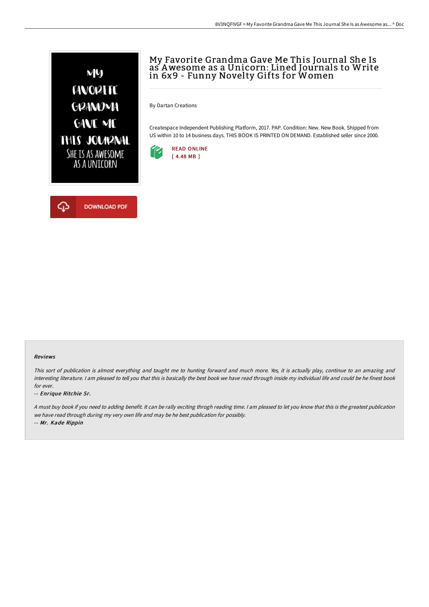

# My Favorite Grandma Gave Me This Journal She Is as Awesome as a Unicorn: Lined Journals to Write in 6x9 - Funny Novelty Gifts for Women

By Dartan Creations

Createspace Independent Publishing Platform, 2017. PAP. Condition: New. New Book. Shipped from US within 10 to 14 business days. THIS BOOK IS PRINTED ON DEMAND. Established seller since 2000.





#### Reviews

This sort of publication is almost everything and taught me to hunting forward and much more. Yes, it is actually play, continue to an amazing and interesting literature. <sup>I</sup> am pleased to tell you that this is basically the best book we have read through inside my individual life and could be he finest book for ever.

-- Enrique Ritchie Sr.

<sup>A</sup> must buy book if you need to adding benefit. It can be rally exciting throgh reading time. <sup>I</sup> am pleased to let you know that this is the greatest publication we have read through during my very own life and may be he best publication for possibly. -- Mr. Kade Rippin